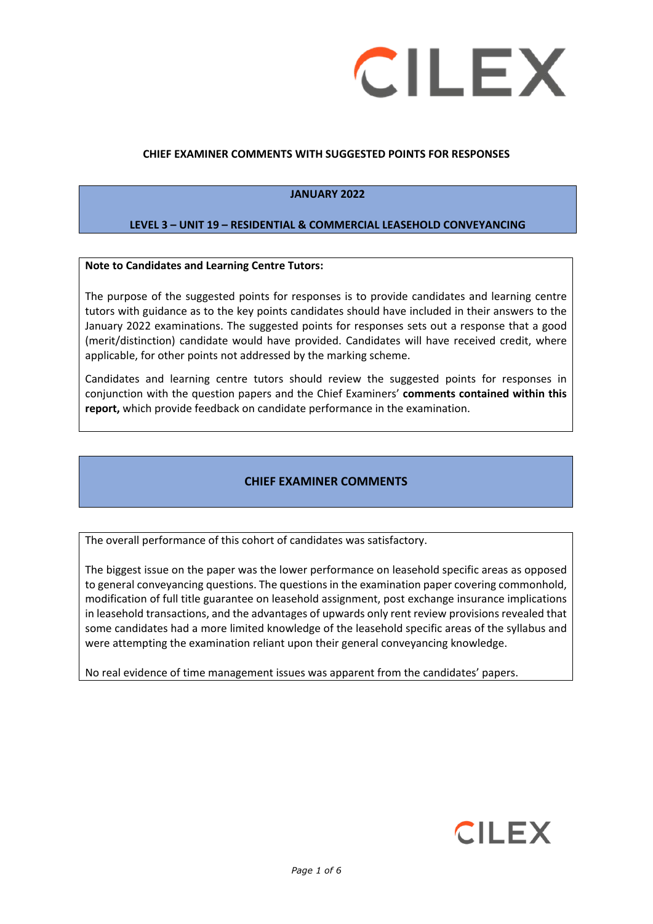

#### **CHIEF EXAMINER COMMENTS WITH SUGGESTED POINTS FOR RESPONSES**

#### **JANUARY 2022**

#### **LEVEL 3 – UNIT 19 – RESIDENTIAL & COMMERCIAL LEASEHOLD CONVEYANCING**

#### **Note to Candidates and Learning Centre Tutors:**

The purpose of the suggested points for responses is to provide candidates and learning centre tutors with guidance as to the key points candidates should have included in their answers to the January 2022 examinations. The suggested points for responses sets out a response that a good (merit/distinction) candidate would have provided. Candidates will have received credit, where applicable, for other points not addressed by the marking scheme.

Candidates and learning centre tutors should review the suggested points for responses in conjunction with the question papers and the Chief Examiners' **comments contained within this report,** which provide feedback on candidate performance in the examination.

#### **CHIEF EXAMINER COMMENTS**

The overall performance of this cohort of candidates was satisfactory.

The biggest issue on the paper was the lower performance on leasehold specific areas as opposed to general conveyancing questions. The questions in the examination paper covering commonhold, modification of full title guarantee on leasehold assignment, post exchange insurance implications in leasehold transactions, and the advantages of upwards only rent review provisions revealed that some candidates had a more limited knowledge of the leasehold specific areas of the syllabus and were attempting the examination reliant upon their general conveyancing knowledge.

No real evidence of time management issues was apparent from the candidates' papers.

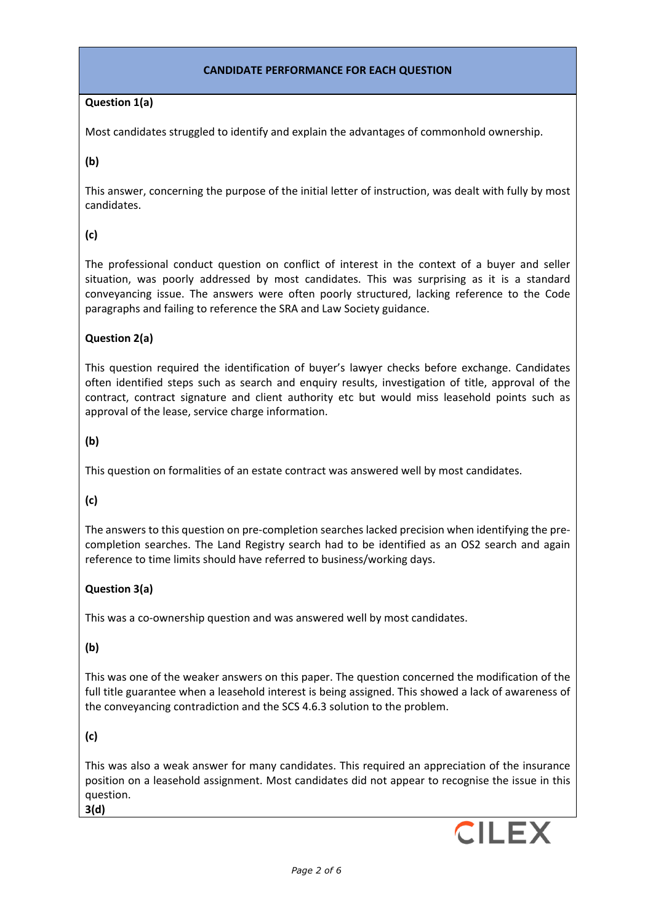#### **CANDIDATE PERFORMANCE FOR EACH QUESTION**

## **Question 1(a)**

Most candidates struggled to identify and explain the advantages of commonhold ownership.

**(b)** 

This answer, concerning the purpose of the initial letter of instruction, was dealt with fully by most candidates.

## **(c)**

The professional conduct question on conflict of interest in the context of a buyer and seller situation, was poorly addressed by most candidates. This was surprising as it is a standard conveyancing issue. The answers were often poorly structured, lacking reference to the Code paragraphs and failing to reference the SRA and Law Society guidance.

## **Question 2(a)**

This question required the identification of buyer's lawyer checks before exchange. Candidates often identified steps such as search and enquiry results, investigation of title, approval of the contract, contract signature and client authority etc but would miss leasehold points such as approval of the lease, service charge information.

## **(b)**

This question on formalities of an estate contract was answered well by most candidates.

## **(c)**

The answers to this question on pre-completion searches lacked precision when identifying the precompletion searches. The Land Registry search had to be identified as an OS2 search and again reference to time limits should have referred to business/working days.

#### **Question 3(a)**

This was a co-ownership question and was answered well by most candidates.

#### **(b)**

This was one of the weaker answers on this paper. The question concerned the modification of the full title guarantee when a leasehold interest is being assigned. This showed a lack of awareness of the conveyancing contradiction and the SCS 4.6.3 solution to the problem.

# **(c)**

This was also a weak answer for many candidates. This required an appreciation of the insurance position on a leasehold assignment. Most candidates did not appear to recognise the issue in this question. **3(d)**

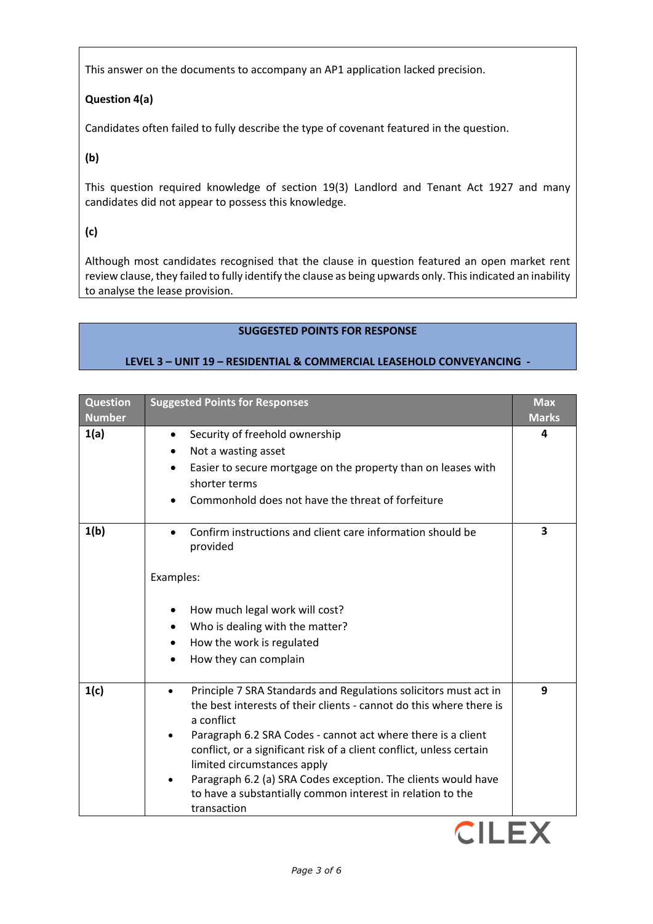This answer on the documents to accompany an AP1 application lacked precision.

# **Question 4(a)**

Candidates often failed to fully describe the type of covenant featured in the question.

**(b)**

This question required knowledge of section 19(3) Landlord and Tenant Act 1927 and many candidates did not appear to possess this knowledge.

**(c)** 

Although most candidates recognised that the clause in question featured an open market rent review clause, they failed to fully identify the clause as being upwards only. This indicated an inability to analyse the lease provision.

# **SUGGESTED POINTS FOR RESPONSE**

## **LEVEL 3 – UNIT 19 – RESIDENTIAL & COMMERCIAL LEASEHOLD CONVEYANCING -**

| <b>Question</b><br><b>Number</b> | <b>Suggested Points for Responses</b>                                                                                                                                                                                                                                                                                                                                                                                                                                      | <b>Max</b><br><b>Marks</b> |
|----------------------------------|----------------------------------------------------------------------------------------------------------------------------------------------------------------------------------------------------------------------------------------------------------------------------------------------------------------------------------------------------------------------------------------------------------------------------------------------------------------------------|----------------------------|
| 1(a)                             | Security of freehold ownership<br>$\bullet$<br>Not a wasting asset<br>Easier to secure mortgage on the property than on leases with<br>shorter terms<br>Commonhold does not have the threat of forfeiture                                                                                                                                                                                                                                                                  | 4                          |
| 1(b)                             | Confirm instructions and client care information should be<br>provided<br>Examples:<br>How much legal work will cost?<br>Who is dealing with the matter?<br>How the work is regulated<br>٠<br>How they can complain<br>$\bullet$                                                                                                                                                                                                                                           | 3                          |
| 1(c)                             | Principle 7 SRA Standards and Regulations solicitors must act in<br>the best interests of their clients - cannot do this where there is<br>a conflict<br>Paragraph 6.2 SRA Codes - cannot act where there is a client<br>conflict, or a significant risk of a client conflict, unless certain<br>limited circumstances apply<br>Paragraph 6.2 (a) SRA Codes exception. The clients would have<br>to have a substantially common interest in relation to the<br>transaction | 9                          |

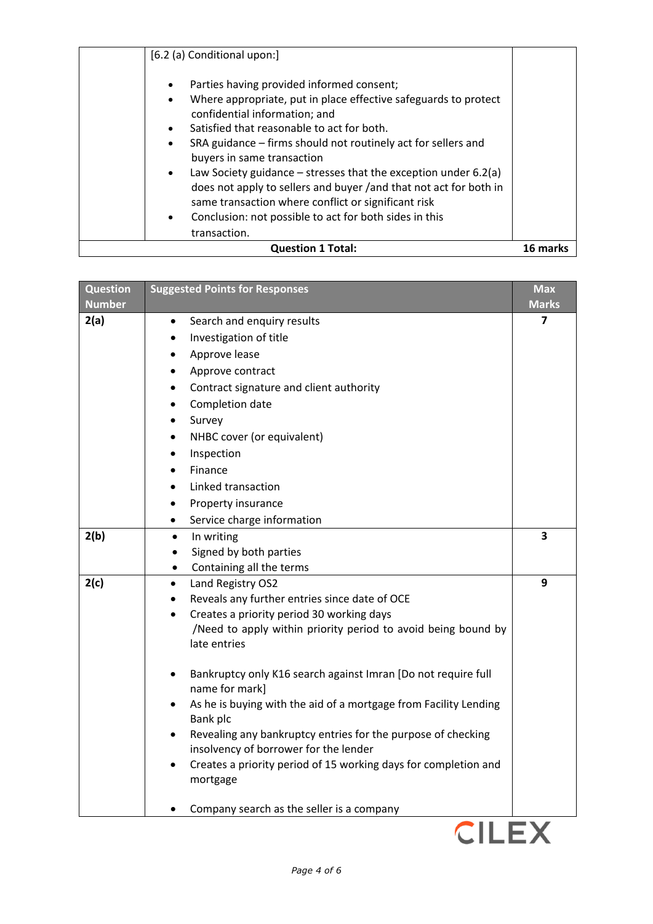| Parties having provided informed consent;<br>$\bullet$<br>Where appropriate, put in place effective safeguards to protect<br>$\bullet$<br>confidential information; and<br>Satisfied that reasonable to act for both.<br>$\bullet$<br>SRA guidance – firms should not routinely act for sellers and<br>$\bullet$<br>buyers in same transaction<br>Law Society guidance $-$ stresses that the exception under 6.2(a)<br>$\bullet$<br>does not apply to sellers and buyer /and that not act for both in<br>same transaction where conflict or significant risk<br>Conclusion: not possible to act for both sides in this<br>$\bullet$ |          |
|-------------------------------------------------------------------------------------------------------------------------------------------------------------------------------------------------------------------------------------------------------------------------------------------------------------------------------------------------------------------------------------------------------------------------------------------------------------------------------------------------------------------------------------------------------------------------------------------------------------------------------------|----------|
| transaction.<br><b>Question 1 Total:</b>                                                                                                                                                                                                                                                                                                                                                                                                                                                                                                                                                                                            | 16 marks |

| <b>Question</b> | <b>Suggested Points for Responses</b>                                       | <b>Max</b>   |
|-----------------|-----------------------------------------------------------------------------|--------------|
| <b>Number</b>   |                                                                             | <b>Marks</b> |
| 2(a)            | Search and enquiry results<br>$\bullet$                                     | 7            |
|                 | Investigation of title                                                      |              |
|                 | Approve lease                                                               |              |
|                 | Approve contract                                                            |              |
|                 | Contract signature and client authority                                     |              |
|                 | Completion date                                                             |              |
|                 | Survey<br>$\bullet$                                                         |              |
|                 | NHBC cover (or equivalent)                                                  |              |
|                 | Inspection                                                                  |              |
|                 | Finance                                                                     |              |
|                 | Linked transaction                                                          |              |
|                 | Property insurance                                                          |              |
|                 | Service charge information<br>$\bullet$                                     |              |
| 2(b)            | In writing<br>$\bullet$                                                     | 3            |
|                 | Signed by both parties                                                      |              |
|                 | Containing all the terms<br>$\bullet$                                       |              |
| 2(c)            | Land Registry OS2<br>$\bullet$                                              | 9            |
|                 | Reveals any further entries since date of OCE                               |              |
|                 | Creates a priority period 30 working days                                   |              |
|                 | /Need to apply within priority period to avoid being bound by               |              |
|                 | late entries                                                                |              |
|                 | Bankruptcy only K16 search against Imran [Do not require full               |              |
|                 | name for mark]                                                              |              |
|                 | As he is buying with the aid of a mortgage from Facility Lending            |              |
|                 | Bank plc                                                                    |              |
|                 | Revealing any bankruptcy entries for the purpose of checking                |              |
|                 | insolvency of borrower for the lender                                       |              |
|                 | Creates a priority period of 15 working days for completion and<br>mortgage |              |
|                 |                                                                             |              |
|                 | Company search as the seller is a company                                   |              |
|                 | <b>CILE</b>                                                                 |              |
|                 |                                                                             |              |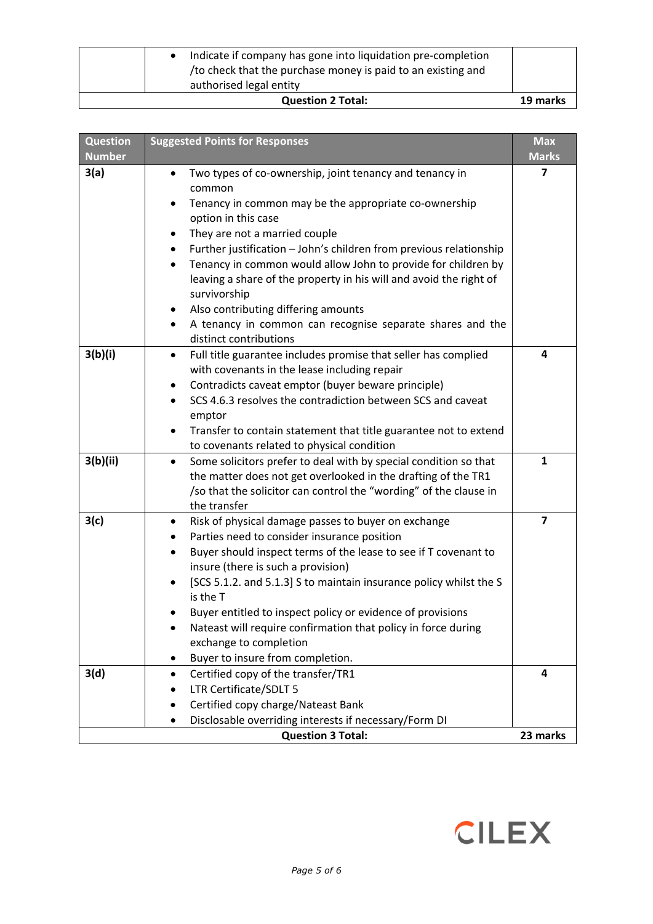| Indicate if company has gone into liquidation pre-completion<br>/to check that the purchase money is paid to an existing and<br>authorised legal entity |          |
|---------------------------------------------------------------------------------------------------------------------------------------------------------|----------|
| <b>Question 2 Total:</b>                                                                                                                                | 19 marks |

| <b>Question</b><br><b>Number</b> | <b>Suggested Points for Responses</b>                                                                                                                                                                                                                                                                                                                                                                                                                                                                                                                                        | <b>Max</b><br><b>Marks</b> |
|----------------------------------|------------------------------------------------------------------------------------------------------------------------------------------------------------------------------------------------------------------------------------------------------------------------------------------------------------------------------------------------------------------------------------------------------------------------------------------------------------------------------------------------------------------------------------------------------------------------------|----------------------------|
| 3(a)                             | Two types of co-ownership, joint tenancy and tenancy in<br>$\bullet$<br>common<br>Tenancy in common may be the appropriate co-ownership<br>option in this case<br>They are not a married couple<br>Further justification - John's children from previous relationship<br>$\bullet$<br>Tenancy in common would allow John to provide for children by<br>leaving a share of the property in his will and avoid the right of<br>survivorship<br>Also contributing differing amounts<br>A tenancy in common can recognise separate shares and the<br>٠<br>distinct contributions | 7                          |
| 3(b)(i)                          | Full title guarantee includes promise that seller has complied<br>$\bullet$<br>with covenants in the lease including repair<br>Contradicts caveat emptor (buyer beware principle)<br>٠<br>SCS 4.6.3 resolves the contradiction between SCS and caveat<br>emptor<br>Transfer to contain statement that title guarantee not to extend<br>to covenants related to physical condition                                                                                                                                                                                            | 4                          |
| 3(b)(ii)                         | Some solicitors prefer to deal with by special condition so that<br>$\bullet$<br>the matter does not get overlooked in the drafting of the TR1<br>/so that the solicitor can control the "wording" of the clause in<br>the transfer                                                                                                                                                                                                                                                                                                                                          | $\mathbf{1}$               |
| 3(c)                             | Risk of physical damage passes to buyer on exchange<br>٠<br>Parties need to consider insurance position<br>$\bullet$<br>Buyer should inspect terms of the lease to see if T covenant to<br>$\bullet$<br>insure (there is such a provision)<br>[SCS 5.1.2. and 5.1.3] S to maintain insurance policy whilst the S<br>is the T<br>Buyer entitled to inspect policy or evidence of provisions<br>Nateast will require confirmation that policy in force during<br>exchange to completion<br>Buyer to insure from completion.                                                    | $\overline{\mathbf{z}}$    |
| 3(d)                             | Certified copy of the transfer/TR1<br>٠<br>LTR Certificate/SDLT 5<br>Certified copy charge/Nateast Bank<br>Disclosable overriding interests if necessary/Form DI                                                                                                                                                                                                                                                                                                                                                                                                             | 4                          |
|                                  | <b>Question 3 Total:</b>                                                                                                                                                                                                                                                                                                                                                                                                                                                                                                                                                     | 23 marks                   |